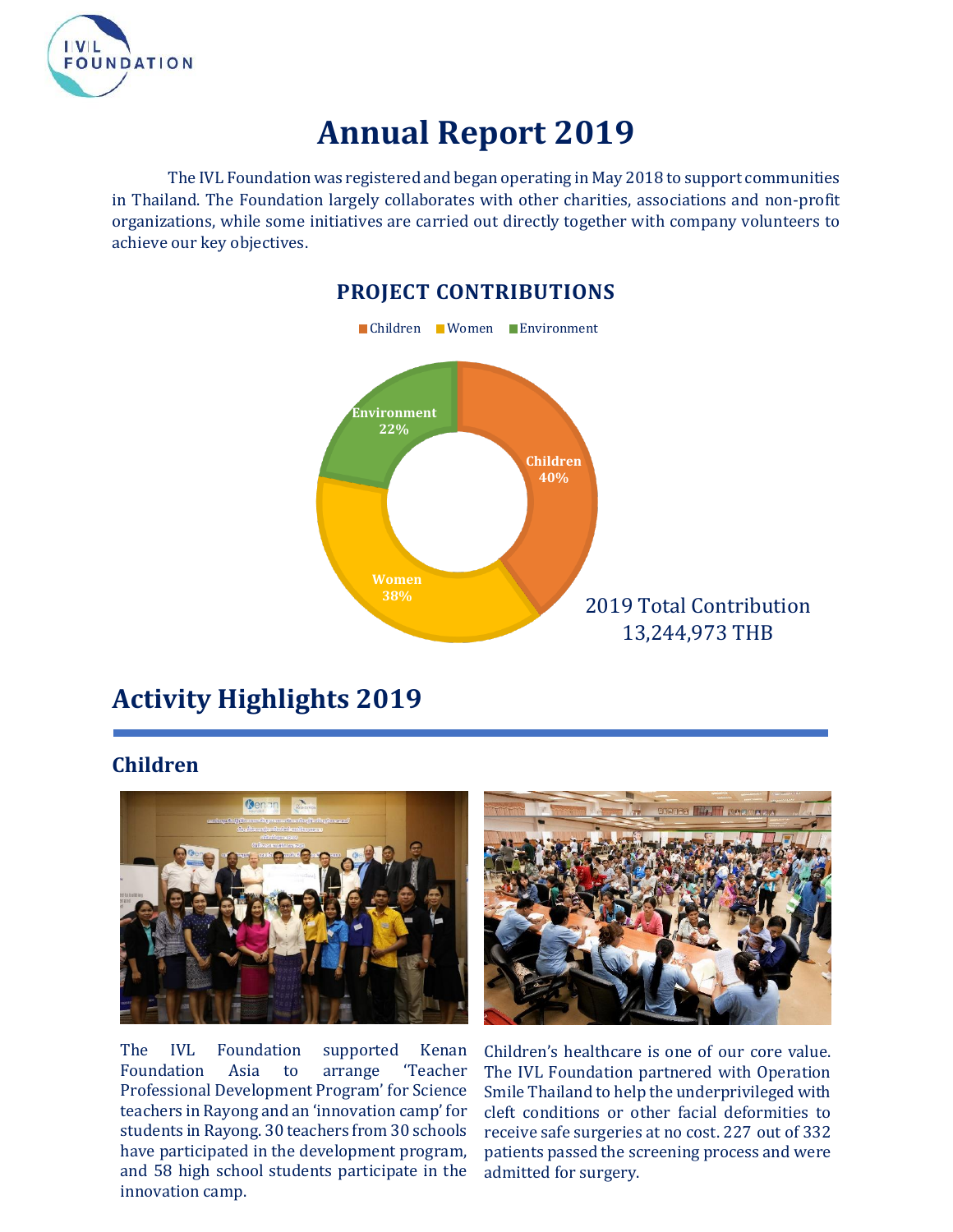

## **Annual Report 2019**

The IVL Foundation was registered and began operating in May 2018 to support communities in Thailand. The Foundation largely collaborates with other charities, associations and non-profit organizations, while some initiatives are carried out directly together with company volunteers to achieve our key objectives.



## **Activity Highlights 2019**

## **Children**



The IVL Foundation supported Kenan Foundation Asia to arrange 'Teacher Professional Development Program' for Science teachers in Rayong and an 'innovation camp' for students in Rayong. 30 teachers from 30 schools have participated in the development program, and 58 high school students participate in the innovation camp.



Children's healthcare is one of our core value. The IVL Foundation partnered with Operation Smile Thailand to help the underprivileged with cleft conditions or other facial deformities to receive safe surgeries at no cost. 227 out of 332 patients passed the screening process and were admitted for surgery.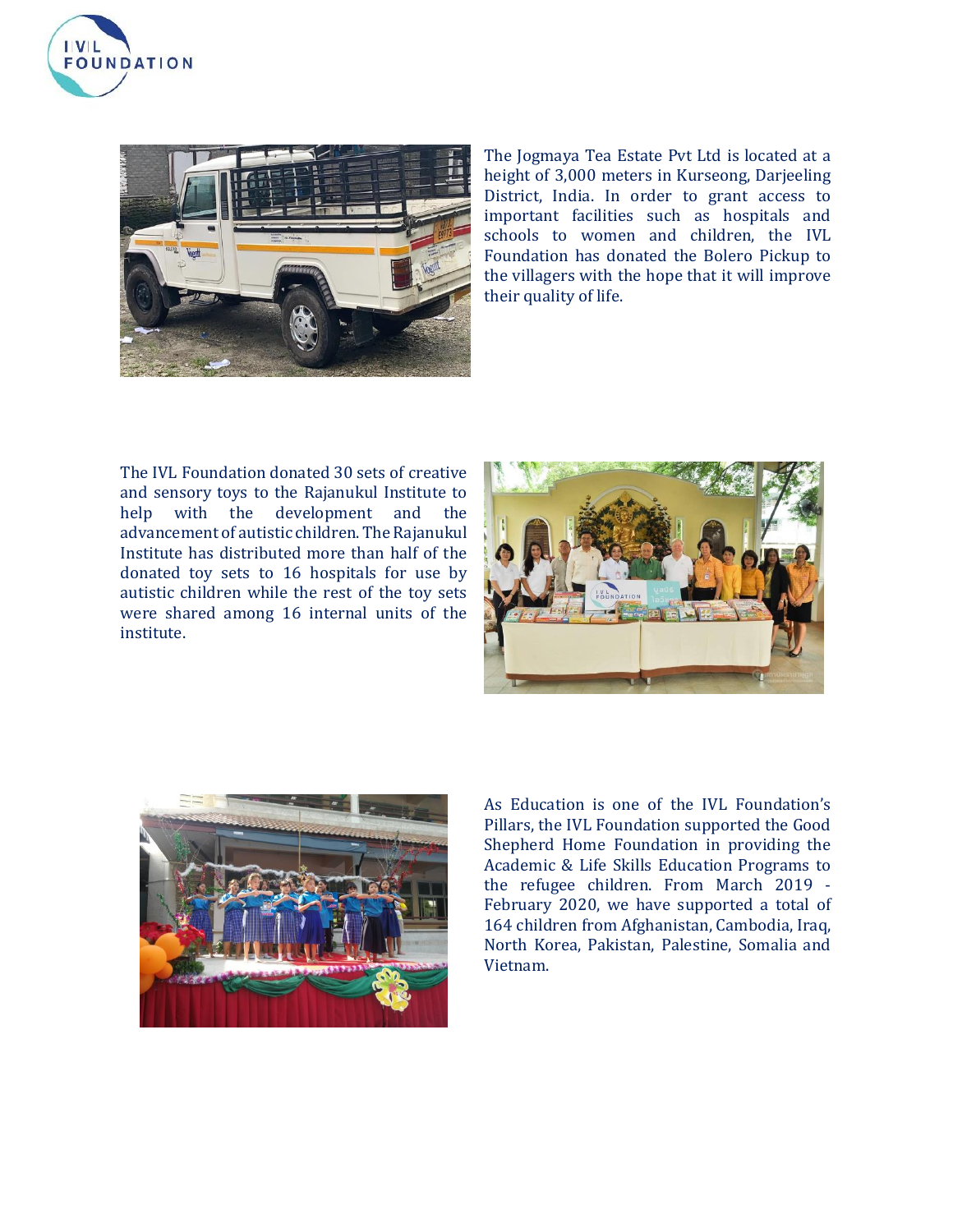



The Jogmaya Tea Estate Pvt Ltd is located at a height of 3,000 meters in Kurseong, Darjeeling District, India. In order to grant access to important facilities such as hospitals and schools to women and children, the IVL Foundation has donated the Bolero Pickup to the villagers with the hope that it will improve their quality of life.

The IVL Foundation donated 30 sets of creative and sensory toys to the Rajanukul Institute to help with the development and the advancement of autistic children. The Rajanukul Institute has distributed more than half of the donated toy sets to 16 hospitals for use by autistic children while the rest of the toy sets were shared among 16 internal units of the institute.





As Education is one of the IVL Foundation's Pillars, the IVL Foundation supported the Good Shepherd Home Foundation in providing the Academic & Life Skills Education Programs to the refugee children. From March 2019 - February 2020, we have supported a total of 164 children from Afghanistan, Cambodia, Iraq, North Korea, Pakistan, Palestine, Somalia and Vietnam.